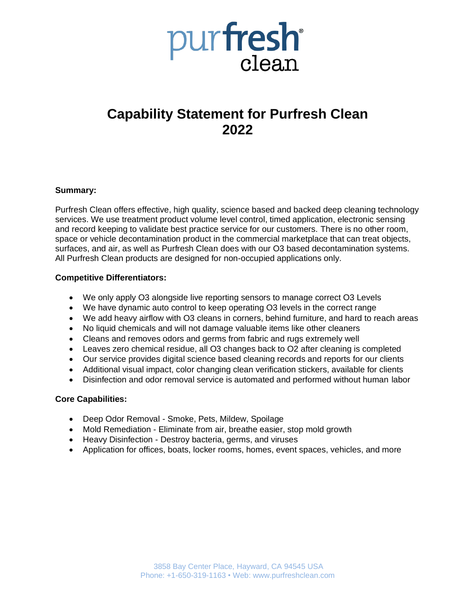

# **Capability Statement for Purfresh Clean 2022**

## **Summary:**

Purfresh Clean offers effective, high quality, science based and backed deep cleaning technology services. We use treatment product volume level control, timed application, electronic sensing and record keeping to validate best practice service for our customers. There is no other room, space or vehicle decontamination product in the commercial marketplace that can treat objects, surfaces, and air, as well as Purfresh Clean does with our O3 based decontamination systems. All Purfresh Clean products are designed for non-occupied applications only.

#### **Competitive Differentiators:**

- We only apply O3 alongside live reporting sensors to manage correct O3 Levels
- We have dynamic auto control to keep operating O3 levels in the correct range
- We add heavy airflow with O3 cleans in corners, behind furniture, and hard to reach areas
- No liquid chemicals and will not damage valuable items like other cleaners
- Cleans and removes odors and germs from fabric and rugs extremely well
- Leaves zero chemical residue, all O3 changes back to O2 after cleaning is completed
- Our service provides digital science based cleaning records and reports for our clients
- Additional visual impact, color changing clean verification stickers, available for clients
- Disinfection and odor removal service is automated and performed without human labor

#### **Core Capabilities:**

- Deep Odor Removal Smoke, Pets, Mildew, Spoilage
- Mold Remediation Eliminate from air, breathe easier, stop mold growth
- Heavy Disinfection Destroy bacteria, germs, and viruses
- Application for offices, boats, locker rooms, homes, event spaces, vehicles, and more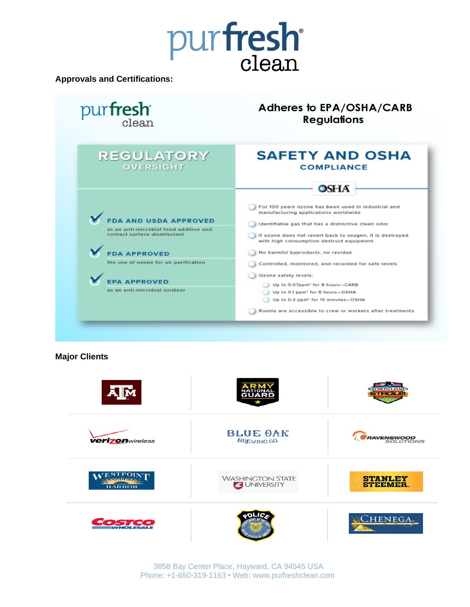

**Approvals and Certifications:**

| pur <b>fresh</b>                                                                                                                                                                                                              | Adheres to EPA/OSHA/CARB<br><b>Regulations</b>                                                                                                                                                                                                                                                                                                                                                                                                                                                                                                                                |
|-------------------------------------------------------------------------------------------------------------------------------------------------------------------------------------------------------------------------------|-------------------------------------------------------------------------------------------------------------------------------------------------------------------------------------------------------------------------------------------------------------------------------------------------------------------------------------------------------------------------------------------------------------------------------------------------------------------------------------------------------------------------------------------------------------------------------|
| <b>REGULATORY</b><br><b>OVERSIGHT</b>                                                                                                                                                                                         | <b>SAFETY AND OSHA</b><br><b>COMPLIANCE</b><br>OSHA                                                                                                                                                                                                                                                                                                                                                                                                                                                                                                                           |
| <b>DA AND USDA APPROVED</b><br>as an anti-microbial food additive and<br>contact surface disinfectant<br><b>FDA APPROVED</b><br>the use of ozone for air purification<br><b>EPA APPROVED</b><br>as an anti-microbial oxidizer | For 100 years ozone has been used in industrial and<br>manufacturing applications worldwide<br>Identifiable gas that has a distinctive clean odor<br>If ozone does not revert back to oxygen, it is destroyed<br>with high consumption destruct equipment<br>No harmful byproducts, no residue<br>Controlled, monitored, and recorded for safe levels<br>Ozone safety levels:<br>Up to 0.07ppm* for 8 hours-CARB<br>Up to 0.1 ppm <sup>*</sup> for 8 hours-OSHA<br>Up to 0.3 ppm <sup>*</sup> for 15 minutes-OSHA<br>Rooms are accessible to crew or workers after treatments |

**Major Clients**



3858 Bay Center Place, Hayward, CA 94545 USA Phone: +1-650-319-1163 • Web: www.purfreshclean.com